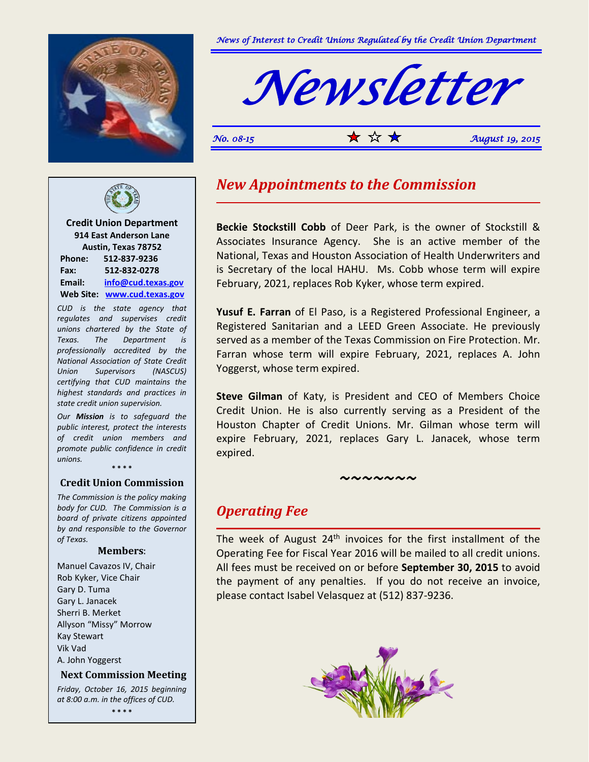



*No. 08-15*  $\mathbf{\hat{x}} \times \mathbf{\hat{x}} = 0.2015$ 



**Credit Union Department 914 East Anderson Lane Austin, Texas 78752 Phone: 512-837-9236 Fax: 512-832-0278 Email: [info@cud.texas.gov](mailto:info@cud.texas.gov) Web Site: [www.cud.texas.gov](http://www.cud.texas.gov/)**

*CUD is the state agency that regulates and supervises credit unions chartered by the State of Texas. The Department is professionally accredited by the National Association of State Credit Union Supervisors (NASCUS) certifying that CUD maintains the highest standards and practices in state credit union supervision.*

*Our Mission is to safeguard the public interest, protect the interests of credit union members and promote public confidence in credit unions.*

**\* \* \* \***

### **Credit Union Commission**

*The Commission is the policy making body for CUD. The Commission is a board of private citizens appointed by and responsible to the Governor of Texas.*

#### **Members**:

Manuel Cavazos IV, Chair Rob Kyker, Vice Chair Gary D. Tuma Gary L. Janacek Sherri B. Merket Allyson "Missy" Morrow Kay Stewart Vik Vad A. John Yoggerst

### **Next Commission Meeting**

*Friday, October 16, 2015 beginning at 8:00 a.m. in the offices of CUD.* **\* \* \* \***

## *New Appointments to the Commission*

**Beckie Stockstill Cobb** of Deer Park, is the owner of Stockstill & Associates Insurance Agency. She is an active member of the National, Texas and Houston Association of Health Underwriters and is Secretary of the local HAHU. Ms. Cobb whose term will expire February, 2021, replaces Rob Kyker, whose term expired.

**Yusuf E. Farran** of El Paso, is a Registered Professional Engineer, a Registered Sanitarian and a LEED Green Associate. He previously served as a member of the Texas Commission on Fire Protection. Mr. Farran whose term will expire February, 2021, replaces A. John Yoggerst, whose term expired.

**Steve Gilman** of Katy, is President and CEO of Members Choice Credit Union. He is also currently serving as a President of the Houston Chapter of Credit Unions. Mr. Gilman whose term will expire February, 2021, replaces Gary L. Janacek, whose term expired.

*~~~~~~~*

## *Operating Fee*

The week of August  $24<sup>th</sup>$  invoices for the first installment of the Operating Fee for Fiscal Year 2016 will be mailed to all credit unions. All fees must be received on or before **September 30, 2015** to avoid the payment of any penalties. If you do not receive an invoice, please contact Isabel Velasquez at (512) 837-9236.

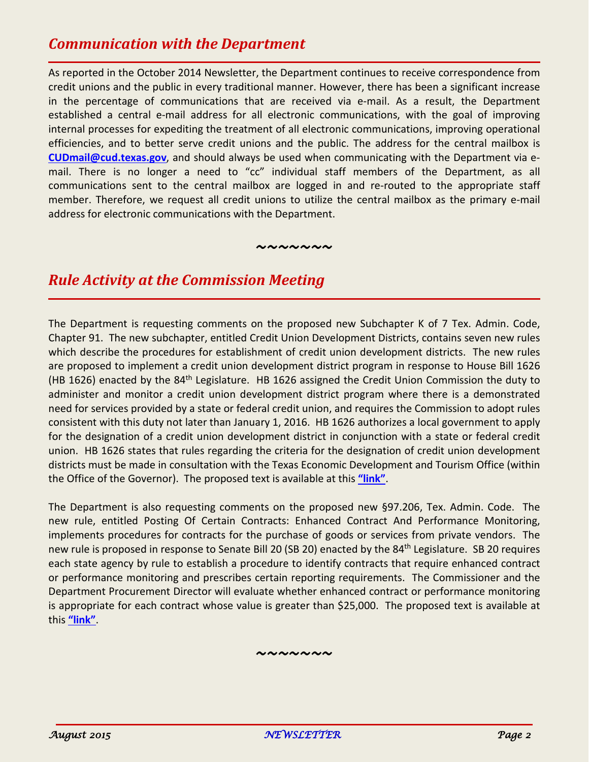# *Communication with the Department*

As reported in the October 2014 Newsletter, the Department continues to receive correspondence from credit unions and the public in every traditional manner. However, there has been a significant increase in the percentage of communications that are received via e-mail. As a result, the Department established a central e-mail address for all electronic communications, with the goal of improving internal processes for expediting the treatment of all electronic communications, improving operational efficiencies, and to better serve credit unions and the public. The address for the central mailbox is **[CUDmail@cud.texas.gov](mailto:CUDmail@cud.texas.gov)**, and should always be used when communicating with the Department via email. There is no longer a need to "cc" individual staff members of the Department, as all communications sent to the central mailbox are logged in and re-routed to the appropriate staff member. Therefore, we request all credit unions to utilize the central mailbox as the primary e-mail address for electronic communications with the Department.

*~~~~~~~*

# *Rule Activity at the Commission Meeting*

The Department is requesting comments on the proposed new Subchapter K of 7 Tex. Admin. Code, Chapter 91. The new subchapter, entitled Credit Union Development Districts, contains seven new rules which describe the procedures for establishment of credit union development districts. The new rules are proposed to implement a credit union development district program in response to House Bill 1626 (HB 1626) enacted by the 84<sup>th</sup> Legislature. HB 1626 assigned the Credit Union Commission the duty to administer and monitor a credit union development district program where there is a demonstrated need for services provided by a state or federal credit union, and requires the Commission to adopt rules consistent with this duty not later than January 1, 2016. HB 1626 authorizes a local government to apply for the designation of a credit union development district in conjunction with a state or federal credit union. HB 1626 states that rules regarding the criteria for the designation of credit union development districts must be made in consultation with the Texas Economic Development and Tourism Office (within the Office of the Governor). The proposed text is available at this **["link"](http://www.cud.texas.gov/upload/file/rules/proposed/91-2000_thru_%2091-2006_Credit_Union_%20Development_%20Districts.pdf)**.

The Department is also requesting comments on the proposed new §97.206, Tex. Admin. Code. The new rule, entitled Posting Of Certain Contracts: Enhanced Contract And Performance Monitoring, implements procedures for contracts for the purchase of goods or services from private vendors. The new rule is proposed in response to Senate Bill 20 (SB 20) enacted by the 84<sup>th</sup> Legislature. SB 20 requires each state agency by rule to establish a procedure to identify contracts that require enhanced contract or performance monitoring and prescribes certain reporting requirements. The Commissioner and the Department Procurement Director will evaluate whether enhanced contract or performance monitoring is appropriate for each contract whose value is greater than \$25,000. The proposed text is available at this **["link"](http://www.cud.texas.gov/upload/file/rules/proposed/97-206_Posting_%20of_%20Certain_%20Contracts.pdf)**.

*~~~~~~~*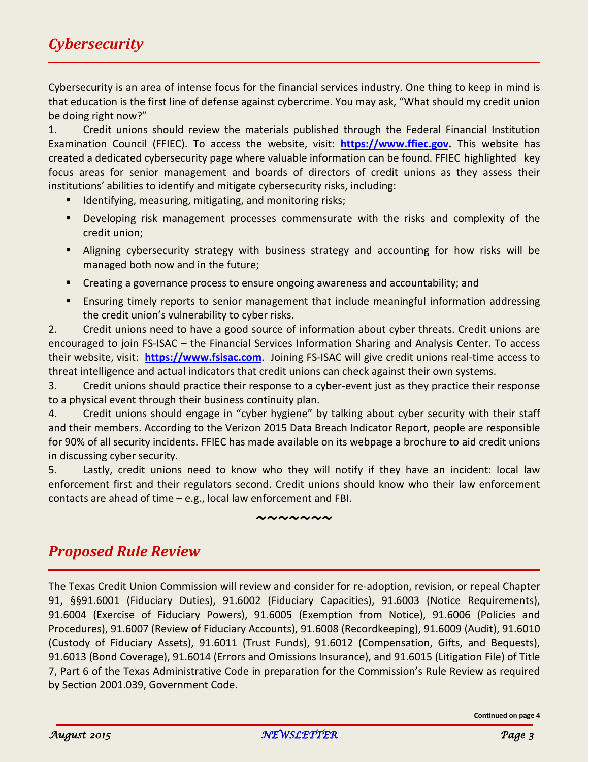Cybersecurity is an area of intense focus for the financial services industry. One thing to keep in mind is that education is the first line of defense against cybercrime. You may ask, "What should my credit union be doing right now?"

1. Credit unions should review the materials published through the Federal Financial Institution Examination Council (FFIEC). To access the website, visit: **[https://www.ffiec.gov.](https://www.ffiec.gov/)** This website has created a dedicated cybersecurity page where valuable information can be found. FFIEC highlighted key focus areas for senior management and boards of directors of credit unions as they assess their institutions' abilities to identify and mitigate cybersecurity risks, including:

- **IDENTIFY IDENTIFY** 1 dentifying, measuring, mitigating, and monitoring risks;
- **Developing risk management processes commensurate with the risks and complexity of the** credit union;
- Aligning cybersecurity strategy with business strategy and accounting for how risks will be managed both now and in the future;
- Creating a governance process to ensure ongoing awareness and accountability; and
- **Ensuring timely reports to senior management that include meaningful information addressing** the credit union's vulnerability to cyber risks.

2. Credit unions need to have a good source of information about cyber threats. Credit unions are encouraged to join FS-ISAC – the Financial Services Information Sharing and Analysis Center. To access their website, visit: **[https://www.fsisac.com](https://www.fsisac.com/)**. Joining FS-ISAC will give credit unions real-time access to threat intelligence and actual indicators that credit unions can check against their own systems.

3. Credit unions should practice their response to a cyber-event just as they practice their response to a physical event through their business continuity plan.

4. Credit unions should engage in "cyber hygiene" by talking about cyber security with their staff and their members. According to the Verizon 2015 Data Breach Indicator Report, people are responsible for 90% of all security incidents. FFIEC has made available on its webpage a brochure to aid credit unions in discussing cyber security.

5. Lastly, credit unions need to know who they will notify if they have an incident: local law enforcement first and their regulators second. Credit unions should know who their law enforcement contacts are ahead of time – e.g., local law enforcement and FBI.

### *~~~~~~~*

# *Proposed Rule Review*

The Texas Credit Union Commission will review and consider for re-adoption, revision, or repeal Chapter 91, §§91.6001 (Fiduciary Duties), 91.6002 (Fiduciary Capacities), 91.6003 (Notice Requirements), 91.6004 (Exercise of Fiduciary Powers), 91.6005 (Exemption from Notice), 91.6006 (Policies and Procedures), 91.6007 (Review of Fiduciary Accounts), 91.6008 (Recordkeeping), 91.6009 (Audit), 91.6010 (Custody of Fiduciary Assets), 91.6011 (Trust Funds), 91.6012 (Compensation, Gifts, and Bequests), 91.6013 (Bond Coverage), 91.6014 (Errors and Omissions Insurance), and 91.6015 (Litigation File) of Title 7, Part 6 of the Texas Administrative Code in preparation for the Commission's Rule Review as required by Section 2001.039, Government Code.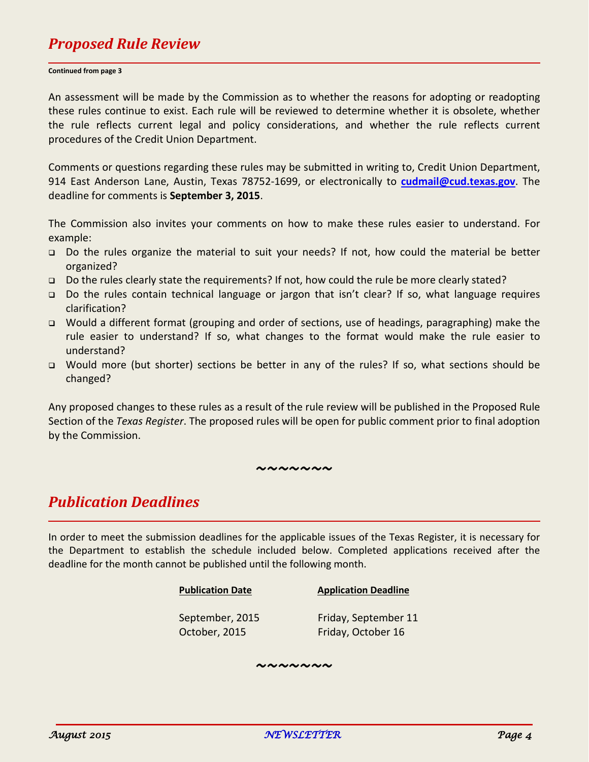# *Proposed Rule Review*

#### **Continued from page 3**

An assessment will be made by the Commission as to whether the reasons for adopting or readopting these rules continue to exist. Each rule will be reviewed to determine whether it is obsolete, whether the rule reflects current legal and policy considerations, and whether the rule reflects current procedures of the Credit Union Department.

Comments or questions regarding these rules may be submitted in writing to, Credit Union Department, 914 East Anderson Lane, Austin, Texas 78752-1699, or electronically to **[cudmail@cud.texas.gov](mailto:cudmail@cud.texas.gov)**. The deadline for comments is **September 3, 2015**.

The Commission also invites your comments on how to make these rules easier to understand. For example:

- Do the rules organize the material to suit your needs? If not, how could the material be better organized?
- □ Do the rules clearly state the requirements? If not, how could the rule be more clearly stated?
- Do the rules contain technical language or jargon that isn't clear? If so, what language requires clarification?
- Would a different format (grouping and order of sections, use of headings, paragraphing) make the rule easier to understand? If so, what changes to the format would make the rule easier to understand?
- □ Would more (but shorter) sections be better in any of the rules? If so, what sections should be changed?

Any proposed changes to these rules as a result of the rule review will be published in the Proposed Rule Section of the *Texas Register*. The proposed rules will be open for public comment prior to final adoption by the Commission.

### *~~~~~~~*

## *Publication Deadlines*

In order to meet the submission deadlines for the applicable issues of the Texas Register, it is necessary for the Department to establish the schedule included below. Completed applications received after the deadline for the month cannot be published until the following month.

### **Publication Date Application Deadline**

September, 2015 Friday, September 11 October, 2015 Friday, October 16

*~~~~~~~*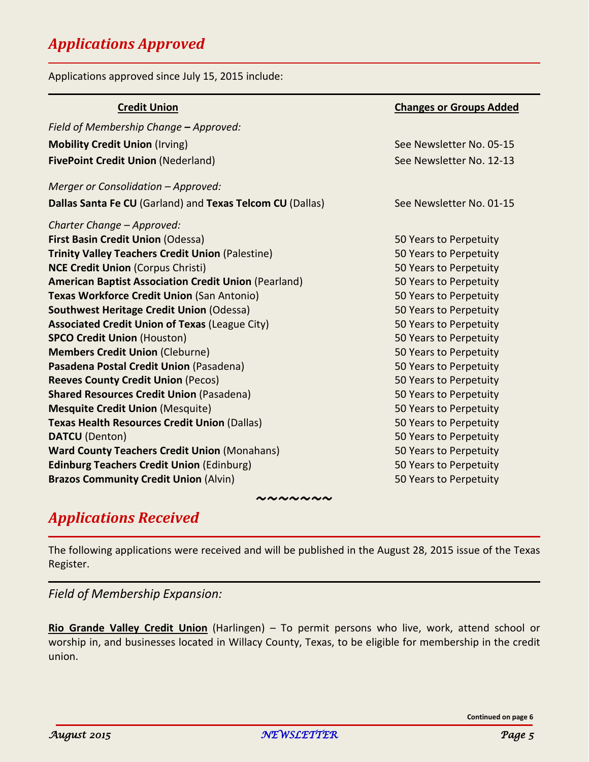# *Applications Approved*

Applications approved since July 15, 2015 include:

| <b>Credit Union</b>                                         | <b>Changes or Groups Added</b> |
|-------------------------------------------------------------|--------------------------------|
| Field of Membership Change - Approved:                      |                                |
| <b>Mobility Credit Union (Irving)</b>                       | See Newsletter No. 05-15       |
| <b>FivePoint Credit Union (Nederland)</b>                   | See Newsletter No. 12-13       |
| Merger or Consolidation - Approved:                         |                                |
| Dallas Santa Fe CU (Garland) and Texas Telcom CU (Dallas)   | See Newsletter No. 01-15       |
| Charter Change - Approved:                                  |                                |
| <b>First Basin Credit Union (Odessa)</b>                    | 50 Years to Perpetuity         |
| <b>Trinity Valley Teachers Credit Union (Palestine)</b>     | 50 Years to Perpetuity         |
| <b>NCE Credit Union (Corpus Christi)</b>                    | 50 Years to Perpetuity         |
| <b>American Baptist Association Credit Union (Pearland)</b> | 50 Years to Perpetuity         |
| <b>Texas Workforce Credit Union (San Antonio)</b>           | 50 Years to Perpetuity         |
| Southwest Heritage Credit Union (Odessa)                    | 50 Years to Perpetuity         |
| <b>Associated Credit Union of Texas (League City)</b>       | 50 Years to Perpetuity         |
| <b>SPCO Credit Union (Houston)</b>                          | 50 Years to Perpetuity         |
| <b>Members Credit Union (Cleburne)</b>                      | 50 Years to Perpetuity         |
| Pasadena Postal Credit Union (Pasadena)                     | 50 Years to Perpetuity         |
| <b>Reeves County Credit Union (Pecos)</b>                   | 50 Years to Perpetuity         |
| <b>Shared Resources Credit Union (Pasadena)</b>             | 50 Years to Perpetuity         |
| <b>Mesquite Credit Union (Mesquite)</b>                     | 50 Years to Perpetuity         |
| <b>Texas Health Resources Credit Union (Dallas)</b>         | 50 Years to Perpetuity         |
| <b>DATCU</b> (Denton)                                       | 50 Years to Perpetuity         |
| <b>Ward County Teachers Credit Union (Monahans)</b>         | 50 Years to Perpetuity         |
| <b>Edinburg Teachers Credit Union (Edinburg)</b>            | 50 Years to Perpetuity         |
| <b>Brazos Community Credit Union (Alvin)</b>                | 50 Years to Perpetuity         |

# *Applications Received*

The following applications were received and will be published in the August 28, 2015 issue of the Texas Register.

*~~~~~~~*

*Field of Membership Expansion:*

**Rio Grande Valley Credit Union** (Harlingen) – To permit persons who live, work, attend school or worship in, and businesses located in Willacy County, Texas, to be eligible for membership in the credit union.